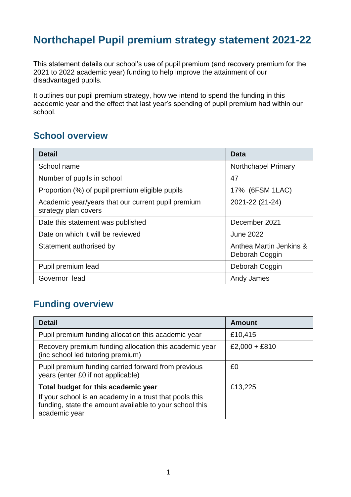# **Northchapel Pupil premium strategy statement 2021-22**

This statement details our school's use of pupil premium (and recovery premium for the 2021 to 2022 academic year) funding to help improve the attainment of our disadvantaged pupils.

It outlines our pupil premium strategy, how we intend to spend the funding in this academic year and the effect that last year's spending of pupil premium had within our school.

#### **School overview**

| <b>Detail</b>                                                              | <b>Data</b>                               |
|----------------------------------------------------------------------------|-------------------------------------------|
| School name                                                                | <b>Northchapel Primary</b>                |
| Number of pupils in school                                                 | 47                                        |
| Proportion (%) of pupil premium eligible pupils                            | 17% (6FSM 1LAC)                           |
| Academic year/years that our current pupil premium<br>strategy plan covers | 2021-22 (21-24)                           |
| Date this statement was published                                          | December 2021                             |
| Date on which it will be reviewed                                          | <b>June 2022</b>                          |
| Statement authorised by                                                    | Anthea Martin Jenkins &<br>Deborah Coggin |
| Pupil premium lead                                                         | Deborah Coggin                            |
| Governor lead                                                              | Andy James                                |

### **Funding overview**

| <b>Detail</b>                                                                                                                                                              | <b>Amount</b> |
|----------------------------------------------------------------------------------------------------------------------------------------------------------------------------|---------------|
| Pupil premium funding allocation this academic year                                                                                                                        | £10,415       |
| Recovery premium funding allocation this academic year<br>(inc school led tutoring premium)                                                                                | £2,000 + £810 |
| Pupil premium funding carried forward from previous<br>years (enter £0 if not applicable)                                                                                  | £0            |
| Total budget for this academic year<br>If your school is an academy in a trust that pools this<br>funding, state the amount available to your school this<br>academic year | £13,225       |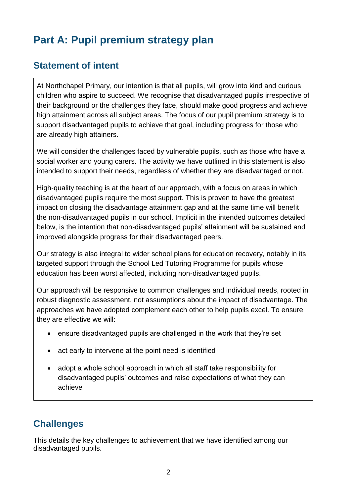# **Part A: Pupil premium strategy plan**

# **Statement of intent**

At Northchapel Primary, our intention is that all pupils, will grow into kind and curious children who aspire to succeed. We recognise that disadvantaged pupils irrespective of their background or the challenges they face, should make good progress and achieve high attainment across all subject areas. The focus of our pupil premium strategy is to support disadvantaged pupils to achieve that goal, including progress for those who are already high attainers.

We will consider the challenges faced by vulnerable pupils, such as those who have a social worker and young carers. The activity we have outlined in this statement is also intended to support their needs, regardless of whether they are disadvantaged or not.

High-quality teaching is at the heart of our approach, with a focus on areas in which disadvantaged pupils require the most support. This is proven to have the greatest impact on closing the disadvantage attainment gap and at the same time will benefit the non-disadvantaged pupils in our school. Implicit in the intended outcomes detailed below, is the intention that non-disadvantaged pupils' attainment will be sustained and improved alongside progress for their disadvantaged peers.

Our strategy is also integral to wider school plans for education recovery, notably in its targeted support through the School Led Tutoring Programme for pupils whose education has been worst affected, including non-disadvantaged pupils.

Our approach will be responsive to common challenges and individual needs, rooted in robust diagnostic assessment, not assumptions about the impact of disadvantage. The approaches we have adopted complement each other to help pupils excel. To ensure they are effective we will:

- ensure disadvantaged pupils are challenged in the work that they're set
- act early to intervene at the point need is identified
- adopt a whole school approach in which all staff take responsibility for disadvantaged pupils' outcomes and raise expectations of what they can achieve

# **Challenges**

This details the key challenges to achievement that we have identified among our disadvantaged pupils.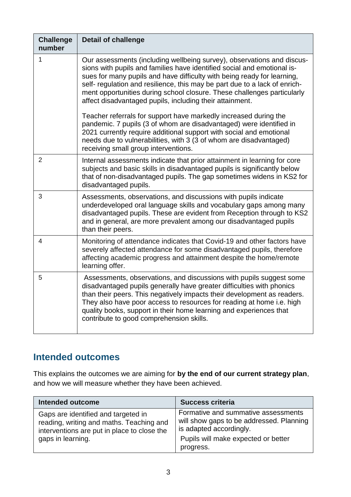| <b>Challenge</b><br>number | <b>Detail of challenge</b>                                                                                                                                                                                                                                                                                                                                                                                                                        |
|----------------------------|---------------------------------------------------------------------------------------------------------------------------------------------------------------------------------------------------------------------------------------------------------------------------------------------------------------------------------------------------------------------------------------------------------------------------------------------------|
| 1                          | Our assessments (including wellbeing survey), observations and discus-<br>sions with pupils and families have identified social and emotional is-<br>sues for many pupils and have difficulty with being ready for learning,<br>self- regulation and resilience, this may be part due to a lack of enrich-<br>ment opportunities during school closure. These challenges particularly<br>affect disadvantaged pupils, including their attainment. |
|                            | Teacher referrals for support have markedly increased during the<br>pandemic. 7 pupils (3 of whom are disadvantaged) were identified in<br>2021 currently require additional support with social and emotional<br>needs due to vulnerabilities, with 3 (3 of whom are disadvantaged)<br>receiving small group interventions.                                                                                                                      |
| $\overline{2}$             | Internal assessments indicate that prior attainment in learning for core<br>subjects and basic skills in disadvantaged pupils is significantly below<br>that of non-disadvantaged pupils. The gap sometimes widens in KS2 for<br>disadvantaged pupils.                                                                                                                                                                                            |
| 3                          | Assessments, observations, and discussions with pupils indicate<br>underdeveloped oral language skills and vocabulary gaps among many<br>disadvantaged pupils. These are evident from Reception through to KS2<br>and in general, are more prevalent among our disadvantaged pupils<br>than their peers.                                                                                                                                          |
| 4                          | Monitoring of attendance indicates that Covid-19 and other factors have<br>severely affected attendance for some disadvantaged pupils, therefore<br>affecting academic progress and attainment despite the home/remote<br>learning offer.                                                                                                                                                                                                         |
| 5                          | Assessments, observations, and discussions with pupils suggest some<br>disadvantaged pupils generally have greater difficulties with phonics<br>than their peers. This negatively impacts their development as readers.<br>They also have poor access to resources for reading at home i.e. high<br>quality books, support in their home learning and experiences that<br>contribute to good comprehension skills.                                |

### **Intended outcomes**

This explains the outcomes we are aiming for **by the end of our current strategy plan**, and how we will measure whether they have been achieved.

| <b>Intended outcome</b>                                                                                                                             | <b>Success criteria</b>                                                                                                                                        |
|-----------------------------------------------------------------------------------------------------------------------------------------------------|----------------------------------------------------------------------------------------------------------------------------------------------------------------|
| Gaps are identified and targeted in<br>reading, writing and maths. Teaching and<br>interventions are put in place to close the<br>gaps in learning. | Formative and summative assessments<br>will show gaps to be addressed. Planning<br>is adapted accordingly.<br>Pupils will make expected or better<br>progress. |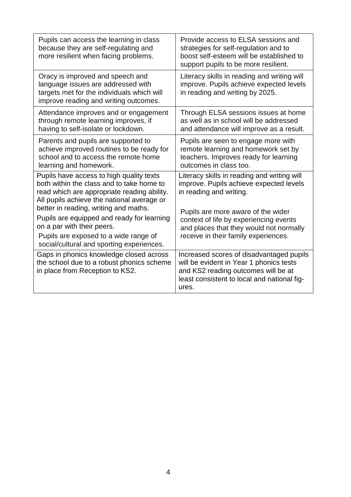| Pupils can access the learning in class<br>because they are self-regulating and<br>more resilient when facing problems.                                                                                 | Provide access to ELSA sessions and<br>strategies for self-regulation and to<br>boost self-esteem will be established to<br>support pupils to be more resilient.                   |
|---------------------------------------------------------------------------------------------------------------------------------------------------------------------------------------------------------|------------------------------------------------------------------------------------------------------------------------------------------------------------------------------------|
| Oracy is improved and speech and<br>language issues are addressed with<br>targets met for the individuals which will<br>improve reading and writing outcomes.                                           | Literacy skills in reading and writing will<br>improve. Pupils achieve expected levels<br>in reading and writing by 2025.                                                          |
| Attendance improves and or engagement<br>through remote learning improves, if<br>having to self-isolate or lockdown.                                                                                    | Through ELSA sessions issues at home<br>as well as in school will be addressed<br>and attendance will improve as a result.                                                         |
| Parents and pupils are supported to<br>achieve improved routines to be ready for<br>school and to access the remote home<br>learning and homework.                                                      | Pupils are seen to engage more with<br>remote learning and homework set by<br>teachers. Improves ready for learning<br>outcomes in class too.                                      |
| Pupils have access to high quality texts<br>both within the class and to take home to<br>read which are appropriate reading ability.<br>All pupils achieve the national average or                      | Literacy skills in reading and writing will<br>improve. Pupils achieve expected levels<br>in reading and writing.                                                                  |
| better in reading, writing and maths.<br>Pupils are equipped and ready for learning<br>on a par with their peers.<br>Pupils are exposed to a wide range of<br>social/cultural and sporting experiences. | Pupils are more aware of the wider<br>context of life by experiencing events<br>and places that they would not normally<br>receive in their family experiences.                    |
| Gaps in phonics knowledge closed across<br>the school due to a robust phonics scheme<br>in place from Reception to KS2.                                                                                 | Increased scores of disadvantaged pupils<br>will be evident in Year 1 phonics tests<br>and KS2 reading outcomes will be at<br>least consistent to local and national fig-<br>ures. |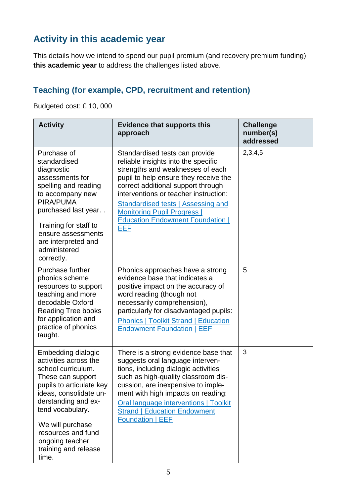# **Activity in this academic year**

This details how we intend to spend our pupil premium (and recovery premium funding) **this academic year** to address the challenges listed above.

## **Teaching (for example, CPD, recruitment and retention)**

Budgeted cost: £ 10, 000

| <b>Activity</b>                                                                                                                                                                                                                                                                       | <b>Evidence that supports this</b><br>approach                                                                                                                                                                                                                                                                                                                  | <b>Challenge</b><br>number(s)<br>addressed |
|---------------------------------------------------------------------------------------------------------------------------------------------------------------------------------------------------------------------------------------------------------------------------------------|-----------------------------------------------------------------------------------------------------------------------------------------------------------------------------------------------------------------------------------------------------------------------------------------------------------------------------------------------------------------|--------------------------------------------|
| Purchase of<br>standardised<br>diagnostic<br>assessments for<br>spelling and reading<br>to accompany new<br>PIRA/PUMA<br>purchased last year<br>Training for staff to<br>ensure assessments<br>are interpreted and<br>administered<br>correctly.                                      | Standardised tests can provide<br>reliable insights into the specific<br>strengths and weaknesses of each<br>pupil to help ensure they receive the<br>correct additional support through<br>interventions or teacher instruction:<br>Standardised tests   Assessing and<br><b>Monitoring Pupil Progress  </b><br><b>Education Endowment Foundation  </b><br>EEF | 2,3,4,5                                    |
| Purchase further<br>phonics scheme<br>resources to support<br>teaching and more<br>decodable Oxford<br><b>Reading Tree books</b><br>for application and<br>practice of phonics<br>taught.                                                                                             | Phonics approaches have a strong<br>evidence base that indicates a<br>positive impact on the accuracy of<br>word reading (though not<br>necessarily comprehension),<br>particularly for disadvantaged pupils:<br><b>Phonics   Toolkit Strand   Education</b><br><b>Endowment Foundation   EEF</b>                                                               | 5                                          |
| Embedding dialogic<br>activities across the<br>school curriculum.<br>These can support<br>pupils to articulate key<br>ideas, consolidate un-<br>derstanding and ex-<br>tend vocabulary.<br>We will purchase<br>resources and fund<br>ongoing teacher<br>training and release<br>time. | There is a strong evidence base that<br>suggests oral language interven-<br>tions, including dialogic activities<br>such as high-quality classroom dis-<br>cussion, are inexpensive to imple-<br>ment with high impacts on reading:<br>Oral language interventions   Toolkit<br><b>Strand   Education Endowment</b><br><b>Foundation   EEF</b>                  | 3                                          |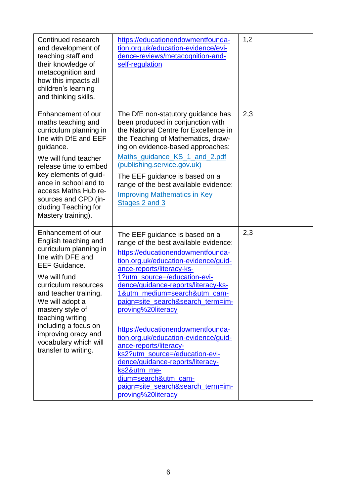| Continued research<br>and development of<br>teaching staff and<br>their knowledge of<br>metacognition and<br>how this impacts all<br>children's learning<br>and thinking skills.                                                                                                                                                              | https://educationendowmentfounda-<br>tion.org.uk/education-evidence/evi-<br>dence-reviews/metacognition-and-<br>self-regulation                                                                                                                                                                                                                                                                                                                                                                                                                                                                                                    | 1,2 |
|-----------------------------------------------------------------------------------------------------------------------------------------------------------------------------------------------------------------------------------------------------------------------------------------------------------------------------------------------|------------------------------------------------------------------------------------------------------------------------------------------------------------------------------------------------------------------------------------------------------------------------------------------------------------------------------------------------------------------------------------------------------------------------------------------------------------------------------------------------------------------------------------------------------------------------------------------------------------------------------------|-----|
| Enhancement of our<br>maths teaching and<br>curriculum planning in<br>line with DfE and EEF<br>guidance.<br>We will fund teacher<br>release time to embed<br>key elements of guid-<br>ance in school and to<br>access Maths Hub re-<br>sources and CPD (in-<br>cluding Teaching for<br>Mastery training).                                     | The DfE non-statutory guidance has<br>been produced in conjunction with<br>the National Centre for Excellence in<br>the Teaching of Mathematics, draw-<br>ing on evidence-based approaches:<br>Maths_guidance_KS_1_and_2.pdf<br>(publishing.service.gov.uk)<br>The EEF guidance is based on a<br>range of the best available evidence:<br><b>Improving Mathematics in Key</b><br>Stages 2 and 3                                                                                                                                                                                                                                    | 2,3 |
| Enhancement of our<br>English teaching and<br>curriculum planning in<br>line with DFE and<br><b>EEF Guidance.</b><br>We will fund<br>curriculum resources<br>and teacher training.<br>We will adopt a<br>mastery style of<br>teaching writing<br>including a focus on<br>improving oracy and<br>vocabulary which will<br>transfer to writing. | The EEF guidance is based on a<br>range of the best available evidence:<br>https://educationendowmentfounda-<br>tion.org.uk/education-evidence/guid-<br>ance-reports/literacy-ks-<br>1?utm_source=/education-evi-<br>dence/guidance-reports/literacy-ks-<br>1&utm_medium=search&utm_cam-<br>paign=site_search&search_term=im-<br>proving%20literacy<br>https://educationendowmentfounda-<br>tion.org.uk/education-evidence/guid-<br>ance-reports/literacy-<br>ks2?utm_source=/education-evi-<br>dence/guidance-reports/literacy-<br>ks2&utm_me-<br>dium=search&utm_cam-<br>paign=site_search&search_term=im-<br>proving%20literacy | 2,3 |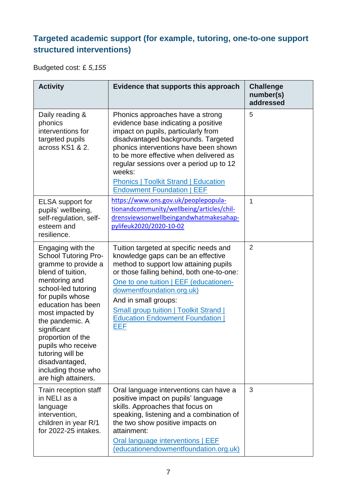## **Targeted academic support (for example, tutoring, one-to-one support structured interventions)**

Budgeted cost: £ *5,155*

| <b>Activity</b>                                                                                                                                                                                                                                                                                                                                                     | Evidence that supports this approach                                                                                                                                                                                                                                                                                                                                              | <b>Challenge</b><br>number(s)<br>addressed |
|---------------------------------------------------------------------------------------------------------------------------------------------------------------------------------------------------------------------------------------------------------------------------------------------------------------------------------------------------------------------|-----------------------------------------------------------------------------------------------------------------------------------------------------------------------------------------------------------------------------------------------------------------------------------------------------------------------------------------------------------------------------------|--------------------------------------------|
| Daily reading &<br>phonics<br>interventions for<br>targeted pupils<br>across KS1 & 2.                                                                                                                                                                                                                                                                               | Phonics approaches have a strong<br>evidence base indicating a positive<br>impact on pupils, particularly from<br>disadvantaged backgrounds. Targeted<br>phonics interventions have been shown<br>to be more effective when delivered as<br>regular sessions over a period up to 12<br>weeks:<br><b>Phonics   Toolkit Strand   Education</b><br><b>Endowment Foundation   EEF</b> | 5                                          |
| <b>ELSA</b> support for<br>pupils' wellbeing,<br>self-regulation, self-<br>esteem and<br>resilience.                                                                                                                                                                                                                                                                | https://www.ons.gov.uk/peoplepopula-<br>tionandcommunity/wellbeing/articles/chil-<br>drensviewsonwellbeingandwhatmakesahap-<br>pylifeuk2020/2020-10-02                                                                                                                                                                                                                            | 1                                          |
| Engaging with the<br><b>School Tutoring Pro-</b><br>gramme to provide a<br>blend of tuition,<br>mentoring and<br>school-led tutoring<br>for pupils whose<br>education has been<br>most impacted by<br>the pandemic. A<br>significant<br>proportion of the<br>pupils who receive<br>tutoring will be<br>disadvantaged,<br>including those who<br>are high attainers. | Tuition targeted at specific needs and<br>knowledge gaps can be an effective<br>method to support low attaining pupils<br>or those falling behind, both one-to-one:<br>One to one tuition   EEF (educationen-<br>dowmentfoundation.org.uk)<br>And in small groups:<br><b>Small group tuition   Toolkit Strand  </b><br><b>Education Endowment Foundation</b><br>EEF               | $\overline{2}$                             |
| Train reception staff<br>in NELI as a<br>language<br>intervention,<br>children in year R/1<br>for 2022-25 intakes.                                                                                                                                                                                                                                                  | Oral language interventions can have a<br>positive impact on pupils' language<br>skills. Approaches that focus on<br>speaking, listening and a combination of<br>the two show positive impacts on<br>attainment:<br>Oral language interventions   EEF<br>(educationendowmentfoundation.org.uk)                                                                                    | 3                                          |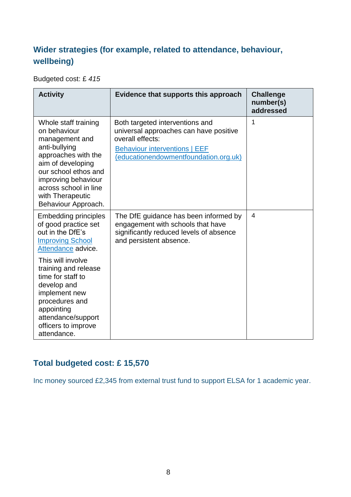### **Wider strategies (for example, related to attendance, behaviour, wellbeing)**

Budgeted cost: £ *415*

| <b>Activity</b>                                                                                                                                                                                                                        | Evidence that supports this approach                                                                                                                                           | <b>Challenge</b><br>number(s)<br>addressed |
|----------------------------------------------------------------------------------------------------------------------------------------------------------------------------------------------------------------------------------------|--------------------------------------------------------------------------------------------------------------------------------------------------------------------------------|--------------------------------------------|
| Whole staff training<br>on behaviour<br>management and<br>anti-bullying<br>approaches with the<br>aim of developing<br>our school ethos and<br>improving behaviour<br>across school in line<br>with Therapeutic<br>Behaviour Approach. | Both targeted interventions and<br>universal approaches can have positive<br>overall effects:<br><b>Behaviour interventions   EEF</b><br>(educationendowmentfoundation.org.uk) | 1                                          |
| <b>Embedding principles</b><br>of good practice set<br>out in the DfE's<br><b>Improving School</b><br>Attendance advice.                                                                                                               | The DfE guidance has been informed by<br>engagement with schools that have<br>significantly reduced levels of absence<br>and persistent absence.                               | $\overline{4}$                             |
| This will involve<br>training and release<br>time for staff to<br>develop and<br>implement new<br>procedures and<br>appointing<br>attendance/support<br>officers to improve<br>attendance.                                             |                                                                                                                                                                                |                                            |

### **Total budgeted cost: £ 15,570**

Inc money sourced £2,345 from external trust fund to support ELSA for 1 academic year.